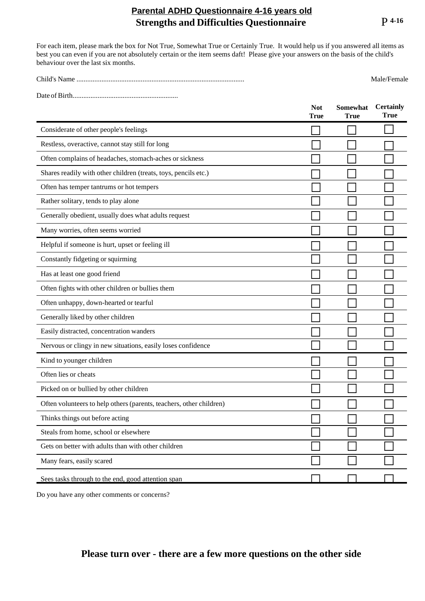## **Strengths and Difficulties Questionnaire** P **4-16 Parental ADHD Questionnaire 4-16 years old**

For each item, please mark the box for Not True, Somewhat True or Certainly True. It would help us if you answered all items as best you can even if you are not absolutely certain or the item seems daft! Please give your answers on the basis of the child's behaviour over the last six months.

| Child's Name | Male/Female |
|--------------|-------------|
|              |             |

Date ofBirth...........................................................

|                                                                     | <b>Not</b><br><b>True</b> | Somewhat<br>True | <b>Certainly</b><br>True |
|---------------------------------------------------------------------|---------------------------|------------------|--------------------------|
| Considerate of other people's feelings                              |                           |                  |                          |
| Restless, overactive, cannot stay still for long                    |                           |                  |                          |
| Often complains of headaches, stomach-aches or sickness             |                           |                  |                          |
| Shares readily with other children (treats, toys, pencils etc.)     |                           |                  |                          |
| Often has temper tantrums or hot tempers                            |                           |                  |                          |
| Rather solitary, tends to play alone                                |                           |                  |                          |
| Generally obedient, usually does what adults request                |                           |                  |                          |
| Many worries, often seems worried                                   |                           |                  |                          |
| Helpful if someone is hurt, upset or feeling ill                    |                           |                  |                          |
| Constantly fidgeting or squirming                                   |                           |                  |                          |
| Has at least one good friend                                        |                           |                  |                          |
| Often fights with other children or bullies them                    |                           |                  |                          |
| Often unhappy, down-hearted or tearful                              |                           |                  |                          |
| Generally liked by other children                                   |                           |                  |                          |
| Easily distracted, concentration wanders                            |                           |                  |                          |
| Nervous or clingy in new situations, easily loses confidence        |                           |                  |                          |
| Kind to younger children                                            |                           |                  |                          |
| Often lies or cheats                                                |                           |                  |                          |
| Picked on or bullied by other children                              |                           |                  |                          |
| Often volunteers to help others (parents, teachers, other children) |                           |                  |                          |
| Thinks things out before acting                                     |                           |                  |                          |
| Steals from home, school or elsewhere                               |                           |                  |                          |
| Gets on better with adults than with other children                 |                           |                  |                          |
| Many fears, easily scared                                           |                           |                  |                          |
| Sees tasks through to the end, good attention span                  |                           |                  |                          |

Do you have any other comments or concerns?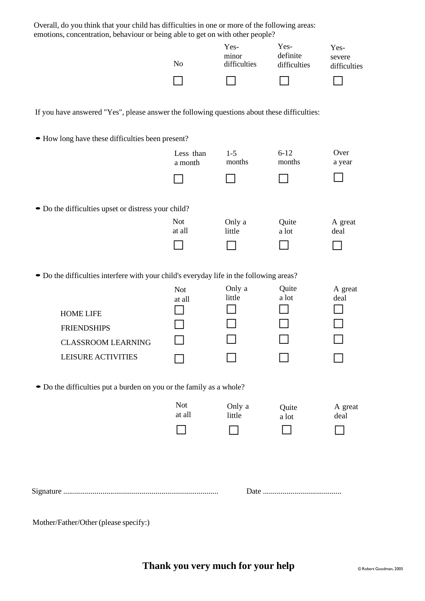| Overall, do you think that your child has difficulties in one or more of the following areas:<br>emotions, concentration, behaviour or being able to get on with other people? |                      |                               |                                  |                                |  |  |
|--------------------------------------------------------------------------------------------------------------------------------------------------------------------------------|----------------------|-------------------------------|----------------------------------|--------------------------------|--|--|
|                                                                                                                                                                                | No                   | Yes-<br>minor<br>difficulties | Yes-<br>definite<br>difficulties | Yes-<br>severe<br>difficulties |  |  |
|                                                                                                                                                                                |                      |                               |                                  |                                |  |  |
| If you have answered "Yes", please answer the following questions about these difficulties:                                                                                    |                      |                               |                                  |                                |  |  |
| • How long have these difficulties been present?                                                                                                                               |                      |                               |                                  |                                |  |  |
|                                                                                                                                                                                | Less than<br>a month | $1 - 5$<br>months             | $6 - 12$<br>months               | Over<br>a year                 |  |  |
|                                                                                                                                                                                |                      |                               |                                  |                                |  |  |
| • Do the difficulties upset or distress your child?                                                                                                                            |                      |                               |                                  |                                |  |  |
|                                                                                                                                                                                | <b>Not</b><br>at all | Only a<br>little              | Quite<br>a lot                   | A great<br>deal                |  |  |
|                                                                                                                                                                                |                      |                               |                                  |                                |  |  |
| • Do the difficulties interfere with your child's everyday life in the following areas?                                                                                        |                      |                               |                                  |                                |  |  |
|                                                                                                                                                                                | <b>Not</b><br>at all | Only a<br>little              | Quite<br>a lot                   | A great<br>deal                |  |  |
| <b>HOME LIFE</b>                                                                                                                                                               |                      |                               |                                  |                                |  |  |
| <b>FRIENDSHIPS</b>                                                                                                                                                             |                      |                               |                                  |                                |  |  |
| <b>CLASSROOM LEARNING</b>                                                                                                                                                      |                      |                               |                                  |                                |  |  |
| <b>LEISURE ACTIVITIES</b>                                                                                                                                                      |                      |                               |                                  |                                |  |  |
| • Do the difficulties put a burden on you or the family as a whole?                                                                                                            |                      |                               |                                  |                                |  |  |
|                                                                                                                                                                                | <b>Not</b>           | Only a                        | Quite                            | A great                        |  |  |
|                                                                                                                                                                                | at all               | little                        | a lot                            | deal                           |  |  |
|                                                                                                                                                                                |                      |                               |                                  |                                |  |  |
|                                                                                                                                                                                |                      |                               |                                  |                                |  |  |
|                                                                                                                                                                                |                      |                               |                                  |                                |  |  |
|                                                                                                                                                                                |                      |                               |                                  |                                |  |  |

Mother/Father/Other (please specify:)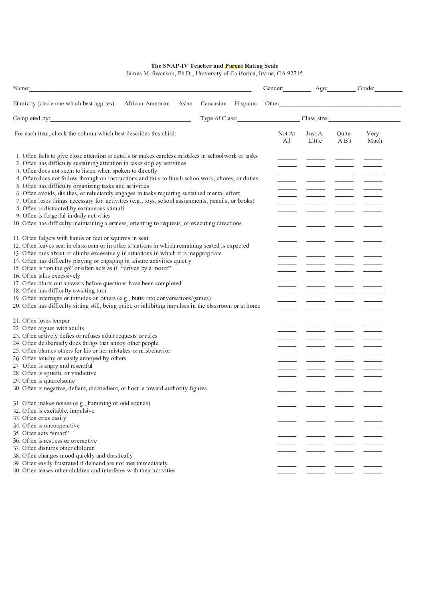The SNAP-IV Teacher and Parent Rating Scale<br>James M. Swanson, Ph.D., University of California, Irvine, CA 92715

| Name:                                                                                                                                                                                                                                                                                                                                                                                                        |                    | Gender: Age: Grade: |                  |                |                            |
|--------------------------------------------------------------------------------------------------------------------------------------------------------------------------------------------------------------------------------------------------------------------------------------------------------------------------------------------------------------------------------------------------------------|--------------------|---------------------|------------------|----------------|----------------------------|
| Ethnicity (circle one which best applies): African-American<br>Asian                                                                                                                                                                                                                                                                                                                                         | Caucasian Hispanic |                     |                  |                |                            |
| Completed by: Note that the set of the set of the set of the set of the set of the set of the set of the set of the set of the set of the set of the set of the set of the set of the set of the set of the set of the set of                                                                                                                                                                                |                    |                     |                  |                | Type of Class: Class size: |
| For each item, check the column which best describes this child:                                                                                                                                                                                                                                                                                                                                             |                    | Not At<br>All       | Just A<br>Little | Quite<br>A Bit | Very<br>Much               |
| 1. Often fails to give close attention to details or makes careless mistakes in schoolwork or tasks<br>2. Often has difficulty sustaining attention in tasks or play activities<br>3. Often does not seem to listen when spoken to directly<br>4. Often does not follow through on instructions and fails to finish schoolwork, chores, or duties<br>5. Often has difficulty organizing tasks and activities |                    |                     |                  |                |                            |
| 6. Often avoids, dislikes, or reluctantly engages in tasks requiring sustained mental effort<br>7. Often loses things necessary for activities (e.g., toys, school assignments, pencils, or books)<br>8. Often is distracted by extraneous stimuli<br>9. Often is forgetful in daily activities                                                                                                              |                    |                     |                  |                |                            |
| 10. Often has difficulty maintaining alertness, orienting to requests, or executing directions                                                                                                                                                                                                                                                                                                               |                    |                     |                  |                |                            |
| 11. Often fidgets with hands or feet or squirms in seat<br>12. Often leaves seat in classroom or in other situations in which remaining seated is expected<br>13. Often runs about or climbs excessively in situations in which it is inappropriate                                                                                                                                                          |                    |                     |                  |                |                            |
| 14. Often has difficulty playing or engaging in leisure activities quietly<br>15. Often is "on the go" or often acts as if "driven by a motor"                                                                                                                                                                                                                                                               |                    |                     |                  |                |                            |
| 16. Often talks excessively<br>17. Often blurts out answers before questions have been completed                                                                                                                                                                                                                                                                                                             |                    |                     |                  |                |                            |
| 18. Often has difficulty awaiting turn<br>19. Often interrupts or intrudes on others (e.g., butts into conversations/games)<br>20. Often has difficulty sitting still, being quiet, or inhibiting impulses in the classroom or at home                                                                                                                                                                       |                    |                     |                  |                |                            |
| 21. Often loses temper                                                                                                                                                                                                                                                                                                                                                                                       |                    |                     |                  |                |                            |
| 22. Often argues with adults<br>23. Often actively defies or refuses adult requests or rules                                                                                                                                                                                                                                                                                                                 |                    |                     |                  |                |                            |
| 24. Often deliberately does things that annoy other people<br>25. Often blames others for his or her mistakes or misbehavior                                                                                                                                                                                                                                                                                 |                    |                     |                  |                |                            |
| 26. Often touchy or easily annoyed by others<br>27 Often is angry and resentful                                                                                                                                                                                                                                                                                                                              |                    |                     |                  |                |                            |
| 28. Often is spiteful or vindictive<br>29. Often is quarrelsome                                                                                                                                                                                                                                                                                                                                              |                    |                     |                  |                |                            |
| 30. Often is negative, defiant, disobedient, or hostile toward authority figures                                                                                                                                                                                                                                                                                                                             |                    |                     |                  |                |                            |
| 31. Often makes noises (e.g., humming or odd sounds)<br>32. Often is excitable, impulsive                                                                                                                                                                                                                                                                                                                    |                    |                     |                  |                |                            |
| 33. Often cries easily<br>34. Often is uncooperative                                                                                                                                                                                                                                                                                                                                                         |                    |                     |                  |                |                            |
| 35. Often acts "smart"<br>36. Often is restless or overactive                                                                                                                                                                                                                                                                                                                                                |                    |                     |                  |                |                            |
| 37. Often disturbs other children<br>38. Often changes mood quickly and drastically                                                                                                                                                                                                                                                                                                                          |                    |                     |                  |                |                            |
| 39. Often easily frustrated if demand are not met immediately<br>40. Often teases other children and interferes with their activities                                                                                                                                                                                                                                                                        |                    |                     |                  |                |                            |